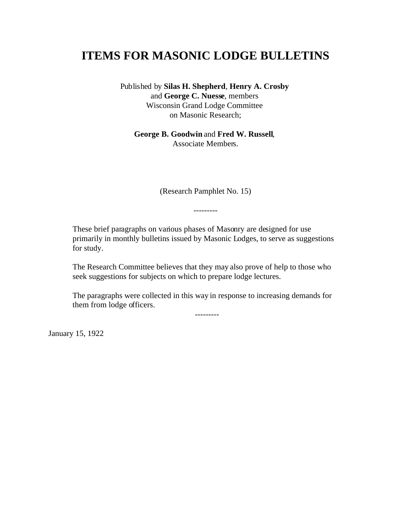# **ITEMS FOR MASONIC LODGE BULLETINS**

Published by **Silas H. Shepherd**, **Henry A. Crosby** and **George C. Nuesse**, members Wisconsin Grand Lodge Committee on Masonic Research;

**George B. Goodwin** and **Fred W. Russell**, Associate Members.

(Research Pamphlet No. 15)

---------

These brief paragraphs on various phases of Masonry are designed for use primarily in monthly bulletins issued by Masonic Lodges, to serve as suggestions for study.

The Research Committee believes that they may also prove of help to those who seek suggestions for subjects on which to prepare lodge lectures.

The paragraphs were collected in this way in response to increasing demands for them from lodge officers.

---------

January 15, 1922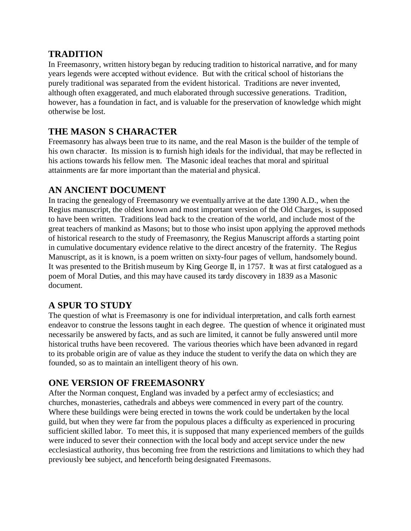#### **TRADITION**

In Freemasonry, written history began by reducing tradition to historical narrative, and for many years legends were accepted without evidence. But with the critical school of historians the purely traditional was separated from the evident historical. Traditions are never invented, although often exaggerated, and much elaborated through successive generations. Tradition, however, has a foundation in fact, and is valuable for the preservation of knowledge which might otherwise be lost.

### **THE MASON S CHARACTER**

Freemasonry has always been true to its name, and the real Mason is the builder of the temple of his own character. Its mission is to furnish high ideals for the individual, that may be reflected in his actions towards his fellow men. The Masonic ideal teaches that moral and spiritual attainments are far more important than the material and physical.

#### **AN ANCIENT DOCUMENT**

In tracing the genealogy of Freemasonry we eventually arrive at the date 1390 A.D., when the Regius manuscript, the oldest known and most important version of the Old Charges, is supposed to have been written. Traditions lead back to the creation of the world, and include most of the great teachers of mankind as Masons; but to those who insist upon applying the approved methods of historical research to the study of Freemasonry, the Regius Manuscript affords a starting point in cumulative documentary evidence relative to the direct ancestry of the fraternity. The Regius Manuscript, as it is known, is a poem written on sixty-four pages of vellum, handsomely bound. It was presented to the British museum by King George II, in 1757. It was at first catalogued as a poem of Moral Duties, and this may have caused its tardy discovery in 1839 as a Masonic document.

### **A SPUR TO STUDY**

The question of what is Freemasonry is one for individual interpretation, and calls forth earnest endeavor to construe the lessons taught in each degree. The question of whence it originated must necessarily be answered by facts, and as such are limited, it cannot be fully answered until more historical truths have been recovered. The various theories which have been advanced in regard to its probable origin are of value as they induce the student to verify the data on which they are founded, so as to maintain an intelligent theory of his own.

#### **ONE VERSION OF FREEMASONRY**

After the Norman conquest, England was invaded by a perfect army of ecclesiastics; and churches, monasteries, cathedrals and abbeys were commenced in every part of the country. Where these buildings were being erected in towns the work could be undertaken by the local guild, but when they were far from the populous places a difficulty as experienced in procuring sufficient skilled labor. To meet this, it is supposed that many experienced members of the guilds were induced to sever their connection with the local body and accept service under the new ecclesiastical authority, thus becoming free from the restrictions and limitations to which they had previously bee subject, and henceforth being designated Freemasons.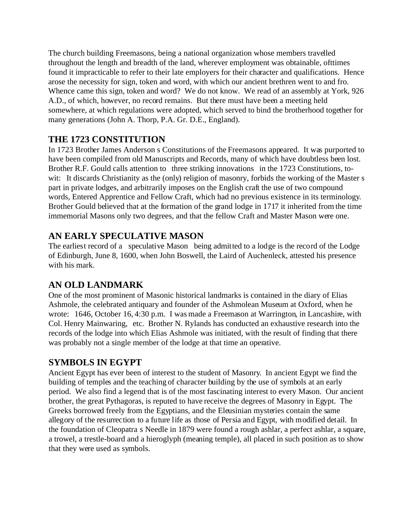The church building Freemasons, being a national organization whose members travelled throughout the length and breadth of the land, wherever employment was obtainable, ofttimes found it impracticable to refer to their late employers for their character and qualifications. Hence arose the necessity for sign, token and word, with which our ancient brethren went to and fro. Whence came this sign, token and word? We do not know. We read of an assembly at York, 926 A.D., of which, however, no record remains. But there must have been a meeting held somewhere, at which regulations were adopted, which served to bind the brotherhood together for many generations (John A. Thorp, P.A. Gr. D.E., England).

### **THE 1723 CONSTITUTION**

In 1723 Brother James Anderson s Constitutions of the Freemasons appeared. It was purported to have been compiled from old Manuscripts and Records, many of which have doubtless been lost. Brother R.F. Gould calls attention to three striking innovations in the 1723 Constitutions, towit: It discards Christianity as the (only) religion of masonry, forbids the working of the Master s part in private lodges, and arbitrarily imposes on the English craft the use of two compound words, Entered Apprentice and Fellow Craft, which had no previous existence in its terminology. Brother Gould believed that at the formation of the grand lodge in 1717 it inherited from the time immemorial Masons only two degrees, and that the fellow Craft and Master Mason were one.

### **AN EARLY SPECULATIVE MASON**

The earliest record of a speculative Mason being admitted to a lodge is the record of the Lodge of Edinburgh, June 8, 1600, when John Boswell, the Laird of Auchenleck, attested his presence with his mark.

## **AN OLD LANDMARK**

One of the most prominent of Masonic historical landmarks is contained in the diary of Elias Ashmole, the celebrated antiquary and founder of the Ashmolean Museum at Oxford, when he wrote: 1646, October 16, 4:30 p.m. I was made a Freemason at Warrington, in Lancashire, with Col. Henry Mainwaring, etc. Brother N. Rylands has conducted an exhaustive research into the records of the lodge into which Elias Ashmole was initiated, with the result of finding that there was probably not a single member of the lodge at that time an operative.

### **SYMBOLS IN EGYPT**

Ancient Egypt has ever been of interest to the student of Masonry. In ancient Egypt we find the building of temples and the teaching of character building by the use of symbols at an early period. We also find a legend that is of the most fascinating interest to every Mason. Our ancient brother, the great Pythagoras, is reputed to have receive the degrees of Masonry in Egypt. The Greeks borrowed freely from the Egyptians, and the Eleusinian mysteries contain the same allegory of the resurrection to a future life as those of Persia and Egypt, with modified detail. In the foundation of Cleopatra s Needle in 1879 were found a rough ashlar, a perfect ashlar, a square, a trowel, a trestle-board and a hieroglyph (meaning temple), all placed in such position as to show that they were used as symbols.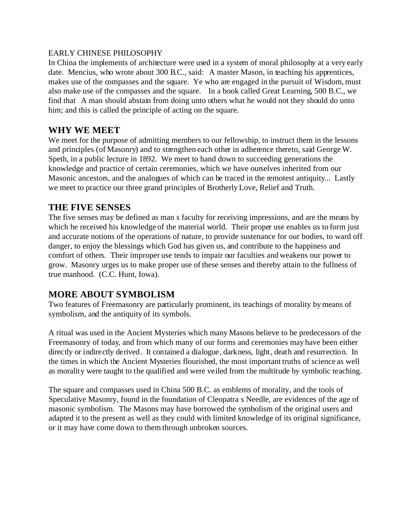#### EARLY CHINESE PHILOSOPHY

In China the implements of architecture were used in a system of moral philosophy at a very early date. Mencius, who wrote about 300 B.C., said: A master Mason, in teaching his apprentices, makes use of the compasses and the square. Ye who are engaged in the pursuit of Wisdom, must also make use of the compasses and the square. In a book called Great Learning, 500 B.C., we find that A man should abstain from doing unto others what he would not they should do unto him; and this is called the principle of acting on the square.

#### **WHY WE MEET**

We meet for the purpose of admitting members to our fellowship, to instruct them in the lessons and principles (of Masonry) and to strengthen each other in adherence thereto, said George W. Speth, in a public lecture in 1892. We meet to hand down to succeeding generations the knowledge and practice of certain ceremonies, which we have ourselves inherited from our Masonic ancestors, and the analogues of which can be traced in the remotest antiquity... Lastly we meet to practice our three grand principles of Brotherly Love, Relief and Truth.

#### **THE FIVE SENSES**

The five senses may be defined as man s faculty for receiving impressions, and are the means by which he received his knowledge of the material world. Their proper use enables us to form just and accurate notions of the operations of nature, to provide sustenance for our bodies, to ward off danger, to enjoy the blessings which God has given us, and contribute to the happiness and comfort of others. Their improper use tends to impair our faculties and weakens our power to grow. Masonry urges us to make proper use of these senses and thereby attain to the fullness of true manhood. (C.C. Hunt, Iowa).

#### **MORE ABOUT SYMBOLISM**

Two features of Freemasonry are particularly prominent, its teachings of morality by means of symbolism, and the antiquity of its symbols.

A ritual was used in the Ancient Mysteries which many Masons believe to be predecessors of the Freemasonry of today, and from which many of our forms and ceremonies may have been either directly or indirectly derived. It contained a dialogue, darkness, light, death and resurrection. In the times in which the Ancient Mysteries flourished, the most important truths of science as well as morality were taught to the qualified and were veiled from the multitude by symbolic teaching.

The square and compasses used in China 500 B.C. as emblems of morality, and the tools of Speculative Masonry, found in the foundation of Cleopatra s Needle, are evidences of the age of masonic symbolism. The Masons may have borrowed the symbolism of the original users and adapted it to the present as well as they could with limited knowledge of its original significance, or it may have come down to them through unbroken sources.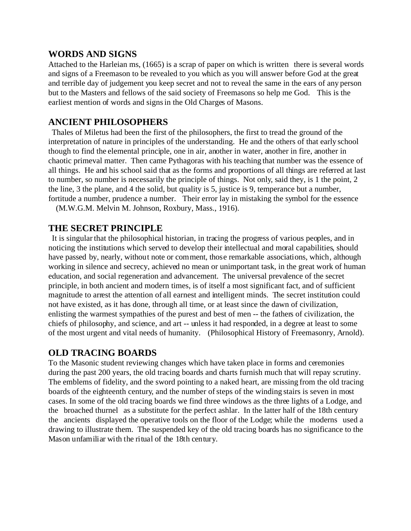#### **WORDS AND SIGNS**

Attached to the Harleian ms, (1665) is a scrap of paper on which is written there is several words and signs of a Freemason to be revealed to you which as you will answer before God at the great and terrible day of judgement you keep secret and not to reveal the same in the ears of any person but to the Masters and fellows of the said society of Freemasons so help me God. This is the earliest mention of words and signs in the Old Charges of Masons.

#### **ANCIENT PHILOSOPHERS**

 Thales of Miletus had been the first of the philosophers, the first to tread the ground of the interpretation of nature in principles of the understanding. He and the others of that early school though to find the elemental principle, one in air, another in water, another in fire, another in chaotic primeval matter. Then came Pythagoras with his teaching that number was the essence of all things. He and his school said that as the forms and proportions of all things are referred at last to number, so number is necessarily the principle of things. Not only, said they, is 1 the point, 2 the line, 3 the plane, and 4 the solid, but quality is 5, justice is 9, temperance but a number, fortitude a number, prudence a number. Their error lay in mistaking the symbol for the essence

(M.W.G.M. Melvin M. Johnson, Roxbury, Mass., 1916).

#### **THE SECRET PRINCIPLE**

 It is singular that the philosophical historian, in tracing the progress of various peoples, and in noticing the institutions which served to develop their intellectual and moral capabilities, should have passed by, nearly, without note or comment, those remarkable associations, which, although working in silence and secrecy, achieved no mean or unimportant task, in the great work of human education, and social regeneration and advancement. The universal prevalence of the secret principle, in both ancient and modern times, is of itself a most significant fact, and of sufficient magnitude to arrest the attention of all earnest and intelligent minds. The secret institution could not have existed, as it has done, through all time, or at least since the dawn of civilization, enlisting the warmest sympathies of the purest and best of men -- the fathers of civilization, the chiefs of philosophy, and science, and art -- unless it had responded, in a degree at least to some of the most urgent and vital needs of humanity. (Philosophical History of Freemasonry, Arnold).

#### **OLD TRACING BOARDS**

To the Masonic student reviewing changes which have taken place in forms and ceremonies during the past 200 years, the old tracing boards and charts furnish much that will repay scrutiny. The emblems of fidelity, and the sword pointing to a naked heart, are missing from the old tracing boards of the eighteenth century, and the number of steps of the winding stairs is seven in most cases. In some of the old tracing boards we find three windows as the three lights of a Lodge, and the broached thurnel as a substitute for the perfect ashlar. In the latter half of the 18th century the ancients displayed the operative tools on the floor of the Lodge; while the moderns used a drawing to illustrate them. The suspended key of the old tracing boards has no significance to the Mason unfamiliar with the ritual of the 18th century.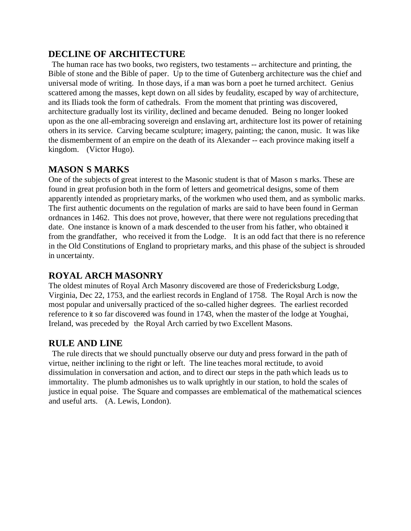### **DECLINE OF ARCHITECTURE**

 The human race has two books, two registers, two testaments -- architecture and printing, the Bible of stone and the Bible of paper. Up to the time of Gutenberg architecture was the chief and universal mode of writing. In those days, if a man was born a poet he turned architect. Genius scattered among the masses, kept down on all sides by feudality, escaped by way of architecture, and its Iliads took the form of cathedrals. From the moment that printing was discovered, architecture gradually lost its virility, declined and became denuded. Being no longer looked upon as the one all-embracing sovereign and enslaving art, architecture lost its power of retaining others in its service. Carving became sculpture; imagery, painting; the canon, music. It was like the dismemberment of an empire on the death of its Alexander -- each province making itself a kingdom. (Victor Hugo).

### **MASON S MARKS**

One of the subjects of great interest to the Masonic student is that of Mason s marks. These are found in great profusion both in the form of letters and geometrical designs, some of them apparently intended as proprietary marks, of the workmen who used them, and as symbolic marks. The first authentic documents on the regulation of marks are said to have been found in German ordnances in 1462. This does not prove, however, that there were not regulations preceding that date. One instance is known of a mark descended to the user from his father, who obtained it from the grandfather, who received it from the Lodge. It is an odd fact that there is no reference in the Old Constitutions of England to proprietary marks, and this phase of the subject is shrouded in uncertainty.

### **ROYAL ARCH MASONRY**

The oldest minutes of Royal Arch Masonry discovered are those of Fredericksburg Lodge, Virginia, Dec 22, 1753, and the earliest records in England of 1758. The Royal Arch is now the most popular and universally practiced of the so-called higher degrees. The earliest recorded reference to it so far discovered was found in 1743, when the master of the lodge at Youghai, Ireland, was preceded by the Royal Arch carried by two Excellent Masons.

#### **RULE AND LINE**

 The rule directs that we should punctually observe our duty and press forward in the path of virtue, neither inclining to the right or left. The line teaches moral rectitude, to avoid dissimulation in conversation and action, and to direct our steps in the path which leads us to immortality. The plumb admonishes us to walk uprightly in our station, to hold the scales of justice in equal poise. The Square and compasses are emblematical of the mathematical sciences and useful arts. (A. Lewis, London).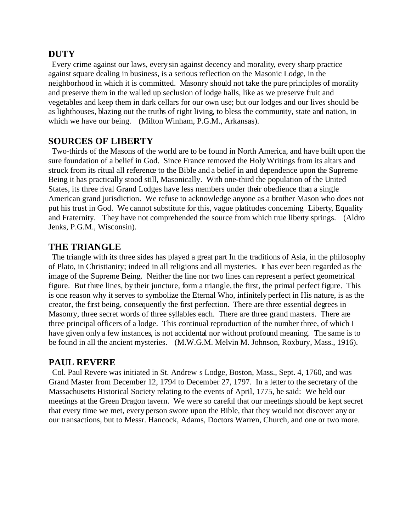#### **DUTY**

 Every crime against our laws, every sin against decency and morality, every sharp practice against square dealing in business, is a serious reflection on the Masonic Lodge, in the neighborhood in which it is committed. Masonry should not take the pure principles of morality and preserve them in the walled up seclusion of lodge halls, like as we preserve fruit and vegetables and keep them in dark cellars for our own use; but our lodges and our lives should be as lighthouses, blazing out the truths of right living, to bless the community, state and nation, in which we have our being. (Milton Winham, P.G.M., Arkansas).

#### **SOURCES OF LIBERTY**

 Two-thirds of the Masons of the world are to be found in North America, and have built upon the sure foundation of a belief in God. Since France removed the Holy Writings from its altars and struck from its ritual all reference to the Bible and a belief in and dependence upon the Supreme Being it has practically stood still, Masonically. With one-third the population of the United States, its three rival Grand Lodges have less members under their obedience than a single American grand jurisdiction. We refuse to acknowledge anyone as a brother Mason who does not put his trust in God. We cannot substitute for this, vague platitudes concerning Liberty, Equality and Fraternity. They have not comprehended the source from which true liberty springs. (Aldro Jenks, P.G.M., Wisconsin).

#### **THE TRIANGLE**

 The triangle with its three sides has played a great part In the traditions of Asia, in the philosophy of Plato, in Christianity; indeed in all religions and all mysteries. It has ever been regarded as the image of the Supreme Being. Neither the line nor two lines can represent a perfect geometrical figure. But three lines, by their juncture, form a triangle, the first, the primal perfect figure. This is one reason why it serves to symbolize the Eternal Who, infinitely perfect in His nature, is as the creator, the first being, consequently the first perfection. There are three essential degrees in Masonry, three secret words of three syllables each. There are three grand masters. There are three principal officers of a lodge. This continual reproduction of the number three, of which I have given only a few instances, is not accidental nor without profound meaning. The same is to be found in all the ancient mysteries. (M.W.G.M. Melvin M. Johnson, Roxbury, Mass., 1916).

#### **PAUL REVERE**

 Col. Paul Revere was initiated in St. Andrew s Lodge, Boston, Mass., Sept. 4, 1760, and was Grand Master from December 12, 1794 to December 27, 1797. In a letter to the secretary of the Massachusetts Historical Society relating to the events of April, 1775, he said: We held our meetings at the Green Dragon tavern. We were so careful that our meetings should be kept secret that every time we met, every person swore upon the Bible, that they would not discover any or our transactions, but to Messr. Hancock, Adams, Doctors Warren, Church, and one or two more.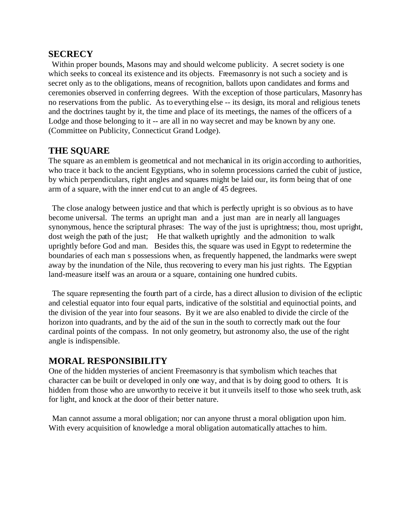#### **SECRECY**

 Within proper bounds, Masons may and should welcome publicity. A secret society is one which seeks to conceal its existence and its objects. Freemasonry is not such a society and is secret only as to the obligations, means of recognition, ballots upon candidates and forms and ceremonies observed in conferring degrees. With the exception of those particulars, Masonry has no reservations from the public. As to everything else -- its design, its moral and religious tenets and the doctrines taught by it, the time and place of its meetings, the names of the officers of a Lodge and those belonging to it -- are all in no way secret and may be known by any one. (Committee on Publicity, Connecticut Grand Lodge).

#### **THE SQUARE**

The square as an emblem is geometrical and not mechanical in its origin according to authorities, who trace it back to the ancient Egyptians, who in solemn processions carried the cubit of justice, by which perpendiculars, right angles and squares might be laid our, its form being that of one arm of a square, with the inner end cut to an angle of 45 degrees.

 The close analogy between justice and that which is perfectly upright is so obvious as to have become universal. The terms an upright man and a just man are in nearly all languages synonymous, hence the scriptural phrases: The way of the just is uprightness; thou, most upright, dost weigh the path of the just; He that walketh uprightly and the admonition to walk uprightly before God and man. Besides this, the square was used in Egypt to redetermine the boundaries of each man s possessions when, as frequently happened, the landmarks were swept away by the inundation of the Nile, thus recovering to every man his just rights. The Egyptian land-measure itself was an aroura or a square, containing one hundred cubits.

 The square representing the fourth part of a circle, has a direct allusion to division of the ecliptic and celestial equator into four equal parts, indicative of the solstitial and equinoctial points, and the division of the year into four seasons. By it we are also enabled to divide the circle of the horizon into quadrants, and by the aid of the sun in the south to correctly mark out the four cardinal points of the compass. In not only geometry, but astronomy also, the use of the right angle is indispensible.

#### **MORAL RESPONSIBILITY**

One of the hidden mysteries of ancient Freemasonry is that symbolism which teaches that character can be built or developed in only one way, and that is by doing good to others. It is hidden from those who are unworthy to receive it but it unveils itself to those who seek truth, ask for light, and knock at the door of their better nature.

 Man cannot assume a moral obligation; nor can anyone thrust a moral obligation upon him. With every acquisition of knowledge a moral obligation automatically attaches to him.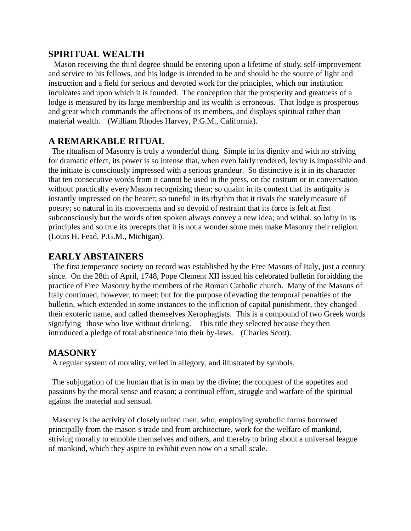#### **SPIRITUAL WEALTH**

 Mason receiving the third degree should be entering upon a lifetime of study, self-improvement and service to his fellows, and his lodge is intended to be and should be the source of light and instruction and a field for serious and devoted work for the principles, which our institution inculcates and upon which it is founded. The conception that the prosperity and greatness of a lodge is measured by its large membership and its wealth is erroneous. That lodge is prosperous and great which commands the affections of its members, and displays spiritual rather than material wealth. (William Rhodes Harvey, P.G.M., California).

#### **A REMARKABLE RITUAL**

 The ritualism of Masonry is truly a wonderful thing. Simple in its dignity and with no striving for dramatic effect, its power is so intense that, when even fairly rendered, levity is impossible and the initiate is consciously impressed with a serious grandeur. So distinctive is it in its character that ten consecutive words from it cannot be used in the press, on the rostrum or in conversation without practically every Mason recognizing them; so quaint in its context that its antiquity is instantly impressed on the hearer; so tuneful in its rhythm that it rivals the stately measure of poetry; so natural in its movements and so devoid of restraint that its force is felt at first subconsciously but the words often spoken always convey a new idea; and withal, so lofty in its principles and so true its precepts that it is not a wonder some men make Masonry their religion. (Louis H. Fead, P.G.M., Michigan).

#### **EARLY ABSTAINERS**

 The first temperance society on record was established by the Free Masons of Italy, just a century since. On the 28th of April, 1748, Pope Clement XII issued his celebrated bulletin forbidding the practice of Free Masonry by the members of the Roman Catholic church. Many of the Masons of Italy continued, however, to meet; but for the purpose of evading the temporal penalties of the bulletin, which extended in some instances to the infliction of capital punishment, they changed their exoteric name, and called themselves Xerophagists. This is a compound of two Greek words signifying those who live without drinking. This title they selected because they then introduced a pledge of total abstinence into their by-laws. (Charles Scott).

#### **MASONRY**

A regular system of morality, veiled in allegory, and illustrated by symbols.

 The subjugation of the human that is in man by the divine; the conquest of the appetites and passions by the moral sense and reason; a continual effort, struggle and warfare of the spiritual against the material and sensual.

 Masonry is the activity of closely united men, who, employing symbolic forms borrowed principally from the mason s trade and from architecture, work for the welfare of mankind, striving morally to ennoble themselves and others, and thereby to bring about a universal league of mankind, which they aspire to exhibit even now on a small scale.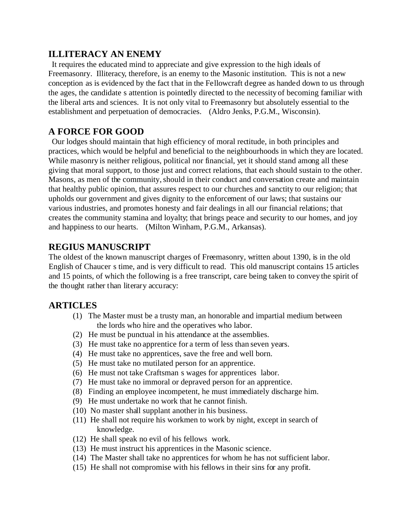### **ILLITERACY AN ENEMY**

 It requires the educated mind to appreciate and give expression to the high ideals of Freemasonry. Illiteracy, therefore, is an enemy to the Masonic institution. This is not a new conception as is evidenced by the fact that in the Fellowcraft degree as handed down to us through the ages, the candidate s attention is pointedly directed to the necessity of becoming familiar with the liberal arts and sciences. It is not only vital to Freemasonry but absolutely essential to the establishment and perpetuation of democracies. (Aldro Jenks, P.G.M., Wisconsin).

### **A FORCE FOR GOOD**

 Our lodges should maintain that high efficiency of moral rectitude, in both principles and practices, which would be helpful and beneficial to the neighbourhoods in which they are located. While masonry is neither religious, political nor financial, yet it should stand among all these giving that moral support, to those just and correct relations, that each should sustain to the other. Masons, as men of the community, should in their conduct and conversation create and maintain that healthy public opinion, that assures respect to our churches and sanctity to our religion; that upholds our government and gives dignity to the enforcement of our laws; that sustains our various industries, and promotes honesty and fair dealings in all our financial relations; that creates the community stamina and loyalty; that brings peace and security to our homes, and joy and happiness to our hearts. (Milton Winham, P.G.M., Arkansas).

### **REGIUS MANUSCRIPT**

The oldest of the known manuscript charges of Freemasonry, written about 1390, is in the old English of Chaucer s time, and is very difficult to read. This old manuscript contains 15 articles and 15 points, of which the following is a free transcript, care being taken to convey the spirit of the thought rather than literary accuracy:

#### **ARTICLES**

- (1) The Master must be a trusty man, an honorable and impartial medium between the lords who hire and the operatives who labor.
- (2) He must be punctual in his attendance at the assemblies.
- (3) He must take no apprentice for a term of less than seven years.
- (4) He must take no apprentices, save the free and well born.
- (5) He must take no mutilated person for an apprentice.
- (6) He must not take Craftsman s wages for apprentices labor.
- (7) He must take no immoral or depraved person for an apprentice.
- (8) Finding an employee incompetent, he must immediately discharge him.
- (9) He must undertake no work that he cannot finish.
- (10) No master shall supplant another in his business.
- (11) He shall not require his workmen to work by night, except in search of knowledge.
- (12) He shall speak no evil of his fellows work.
- (13) He must instruct his apprentices in the Masonic science.
- (14) The Master shall take no apprentices for whom he has not sufficient labor.
- (15) He shall not compromise with his fellows in their sins for any profit.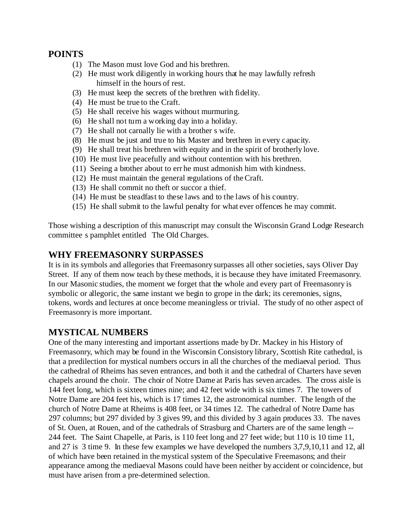#### **POINTS**

- (1) The Mason must love God and his brethren.
- (2) He must work diligently in working hours that he may lawfully refresh himself in the hours of rest.
- (3) He must keep the secrets of the brethren with fidelity.
- (4) He must be true to the Craft.
- (5) He shall receive his wages without murmuring.
- (6) He shall not turn a working day into a holiday.
- (7) He shall not carnally lie with a brother s wife.
- (8) He must be just and true to his Master and brethren in every capacity.
- (9) He shall treat his brethren with equity and in the spirit of brotherly love.
- (10) He must live peacefully and without contention with his brethren.
- (11) Seeing a brother about to err he must admonish him with kindness.
- (12) He must maintain the general regulations of the Craft.
- (13) He shall commit no theft or succor a thief.
- (14) He must be steadfast to these laws and to the laws of his country.
- (15) He shall submit to the lawful penalty for what ever offences he may commit.

Those wishing a description of this manuscript may consult the Wisconsin Grand Lodge Research committee s pamphlet entitled The Old Charges.

#### **WHY FREEMASONRY SURPASSES**

It is in its symbols and allegories that Freemasonry surpasses all other societies, says Oliver Day Street. If any of them now teach by these methods, it is because they have imitated Freemasonry. In our Masonic studies, the moment we forget that the whole and every part of Freemasonry is symbolic or allegoric, the same instant we begin to grope in the dark; its ceremonies, signs, tokens, words and lectures at once become meaningless or trivial. The study of no other aspect of Freemasonry is more important.

#### **MYSTICAL NUMBERS**

One of the many interesting and important assertions made by Dr. Mackey in his History of Freemasonry, which may be found in the Wisconsin Consistory library, Scottish Rite cathedral, is that a predilection for mystical numbers occurs in all the churches of the mediaeval period. Thus the cathedral of Rheims has seven entrances, and both it and the cathedral of Charters have seven chapels around the choir. The choir of Notre Dame at Paris has seven arcades. The cross aisle is 144 feet long, which is sixteen times nine; and 42 feet wide with is six times 7. The towers of Notre Dame are 204 feet his, which is 17 times 12, the astronomical number. The length of the church of Notre Dame at Rheims is 408 feet, or 34 times 12. The cathedral of Notre Dame has 297 columns; but 297 divided by 3 gives 99, and this divided by 3 again produces 33. The naves of St. Ouen, at Rouen, and of the cathedrals of Strasburg and Charters are of the same length -- 244 feet. The Saint Chapelle, at Paris, is 110 feet long and 27 feet wide; but 110 is 10 time 11, and 27 is 3 time 9. In these few examples we have developed the numbers 3,7,9,10,11 and 12, all of which have been retained in the mystical system of the Speculative Freemasons; and their appearance among the mediaeval Masons could have been neither by accident or coincidence, but must have arisen from a pre-determined selection.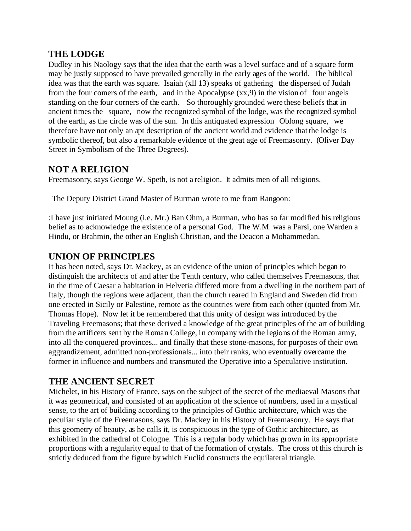#### **THE LODGE**

Dudley in his Naology says that the idea that the earth was a level surface and of a square form may be justly supposed to have prevailed generally in the early ages of the world. The biblical idea was that the earth was square. Isaiah (xll 13) speaks of gathering the dispersed of Judah from the four corners of the earth, and in the Apocalypse (xx,9) in the vision of four angels standing on the four corners of the earth. So thoroughly grounded were these beliefs that in ancient times the square, now the recognized symbol of the lodge, was the recognized symbol of the earth, as the circle was of the sun. In this antiquated expression Oblong square, we therefore have not only an apt description of the ancient world and evidence that the lodge is symbolic thereof, but also a remarkable evidence of the great age of Freemasonry. (Oliver Day Street in Symbolism of the Three Degrees).

### **NOT A RELIGION**

Freemasonry, says George W. Speth, is not a religion. It admits men of all religions.

The Deputy District Grand Master of Burman wrote to me from Rangoon:

:I have just initiated Moung (i.e. Mr.) Ban Ohm, a Burman, who has so far modified his religious belief as to acknowledge the existence of a personal God. The W.M. was a Parsi, one Warden a Hindu, or Brahmin, the other an English Christian, and the Deacon a Mohammedan.

### **UNION OF PRINCIPLES**

It has been noted, says Dr. Mackey, as an evidence of the union of principles which began to distinguish the architects of and after the Tenth century, who called themselves Freemasons, that in the time of Caesar a habitation in Helvetia differed more from a dwelling in the northern part of Italy, though the regions were adjacent, than the church reared in England and Sweden did from one erected in Sicily or Palestine, remote as the countries were from each other (quoted from Mr. Thomas Hope). Now let it be remembered that this unity of design was introduced by the Traveling Freemasons; that these derived a knowledge of the great principles of the art of building from the artificers sent by the Roman College, in company with the legions of the Roman army, into all the conquered provinces... and finally that these stone-masons, for purposes of their own aggrandizement, admitted non-professionals... into their ranks, who eventually overcame the former in influence and numbers and transmuted the Operative into a Speculative institution.

#### **THE ANCIENT SECRET**

Michelet, in his History of France, says on the subject of the secret of the mediaeval Masons that it was geometrical, and consisted of an application of the science of numbers, used in a mystical sense, to the art of building according to the principles of Gothic architecture, which was the peculiar style of the Freemasons, says Dr. Mackey in his History of Freemasonry. He says that this geometry of beauty, as he calls it, is conspicuous in the type of Gothic architecture, as exhibited in the cathedral of Cologne. This is a regular body which has grown in its appropriate proportions with a regularity equal to that of the formation of crystals. The cross of this church is strictly deduced from the figure by which Euclid constructs the equilateral triangle.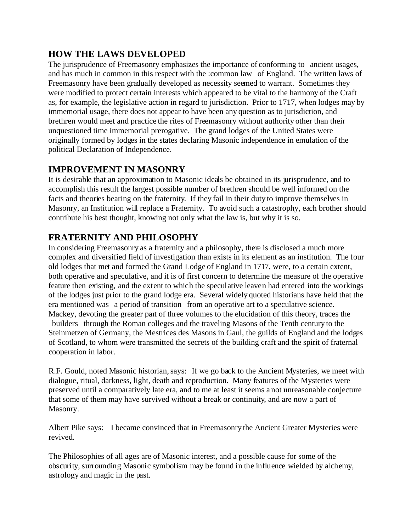### **HOW THE LAWS DEVELOPED**

The jurisprudence of Freemasonry emphasizes the importance of conforming to ancient usages, and has much in common in this respect with the :common law of England. The written laws of Freemasonry have been gradually developed as necessity seemed to warrant. Sometimes they were modified to protect certain interests which appeared to be vital to the harmony of the Craft as, for example, the legislative action in regard to jurisdiction. Prior to 1717, when lodges may by immemorial usage, there does not appear to have been any question as to jurisdiction, and brethren would meet and practice the rites of Freemasonry without authority other than their unquestioned time immemorial prerogative. The grand lodges of the United States were originally formed by lodges in the states declaring Masonic independence in emulation of the political Declaration of Independence.

### **IMPROVEMENT IN MASONRY**

It is desirable that an approximation to Masonic ideals be obtained in its jurisprudence, and to accomplish this result the largest possible number of brethren should be well informed on the facts and theories bearing on the fraternity. If they fail in their duty to improve themselves in Masonry, an Institution will replace a Fraternity. To avoid such a catastrophy, each brother should contribute his best thought, knowing not only what the law is, but why it is so.

### **FRATERNITY AND PHILOSOPHY**

In considering Freemasonry as a fraternity and a philosophy, there is disclosed a much more complex and diversified field of investigation than exists in its element as an institution. The four old lodges that met and formed the Grand Lodge of England in 1717, were, to a certain extent, both operative and speculative, and it is of first concern to determine the measure of the operative feature then existing, and the extent to which the speculative leaven had entered into the workings of the lodges just prior to the grand lodge era. Several widely quoted historians have held that the era mentioned was a period of transition from an operative art to a speculative science. Mackey, devoting the greater part of three volumes to the elucidation of this theory, traces the

 builders through the Roman colleges and the traveling Masons of the Tenth century to the Steinmetzen of Germany, the Mestrices des Masons in Gaul, the guilds of England and the lodges of Scotland, to whom were transmitted the secrets of the building craft and the spirit of fraternal cooperation in labor.

R.F. Gould, noted Masonic historian, says: If we go back to the Ancient Mysteries, we meet with dialogue, ritual, darkness, light, death and reproduction. Many features of the Mysteries were preserved until a comparatively late era, and to me at least it seems a not unreasonable conjecture that some of them may have survived without a break or continuity, and are now a part of Masonry.

Albert Pike says: I became convinced that in Freemasonry the Ancient Greater Mysteries were revived.

The Philosophies of all ages are of Masonic interest, and a possible cause for some of the obscurity, surrounding Masonic symbolism may be found in the influence wielded by alchemy, astrology and magic in the past.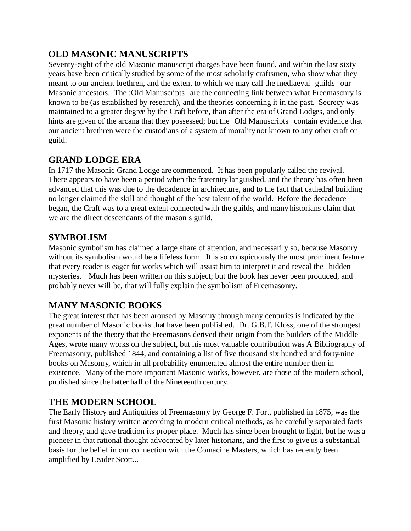## **OLD MASONIC MANUSCRIPTS**

Seventy-eight of the old Masonic manuscript charges have been found, and within the last sixty years have been critically studied by some of the most scholarly craftsmen, who show what they meant to our ancient brethren, and the extent to which we may call the mediaeval guilds our Masonic ancestors. The :Old Manuscripts are the connecting link between what Freemasonry is known to be (as established by research), and the theories concerning it in the past. Secrecy was maintained to a greater degree by the Craft before, than after the era of Grand Lodges, and only hints are given of the arcana that they possessed; but the Old Manuscripts contain evidence that our ancient brethren were the custodians of a system of morality not known to any other craft or guild.

### **GRAND LODGE ERA**

In 1717 the Masonic Grand Lodge are commenced. It has been popularly called the revival. There appears to have been a period when the fraternity languished, and the theory has often been advanced that this was due to the decadence in architecture, and to the fact that cathedral building no longer claimed the skill and thought of the best talent of the world. Before the decadence began, the Craft was to a great extent connected with the guilds, and many historians claim that we are the direct descendants of the mason s guild.

#### **SYMBOLISM**

Masonic symbolism has claimed a large share of attention, and necessarily so, because Masonry without its symbolism would be a lifeless form. It is so conspicuously the most prominent feature that every reader is eager for works which will assist him to interpret it and reveal the hidden mysteries. Much has been written on this subject; but the book has never been produced, and probably never will be, that will fully explain the symbolism of Freemasonry.

## **MANY MASONIC BOOKS**

The great interest that has been aroused by Masonry through many centuries is indicated by the great number of Masonic books that have been published. Dr. G.B.F. Kloss, one of the strongest exponents of the theory that the Freemasons derived their origin from the builders of the Middle Ages, wrote many works on the subject, but his most valuable contribution was A Bibliography of Freemasonry, published 1844, and containing a list of five thousand six hundred and forty-nine books on Masonry, which in all probability enumerated almost the entire number then in existence. Many of the more important Masonic works, however, are those of the modern school, published since the latter half of the Nineteenth century.

### **THE MODERN SCHOOL**

The Early History and Antiquities of Freemasonry by George F. Fort, published in 1875, was the first Masonic history written according to modern critical methods, as he carefully separated facts and theory, and gave tradition its proper place. Much has since been brought to light, but he was a pioneer in that rational thought advocated by later historians, and the first to give us a substantial basis for the belief in our connection with the Comacine Masters, which has recently been amplified by Leader Scott...